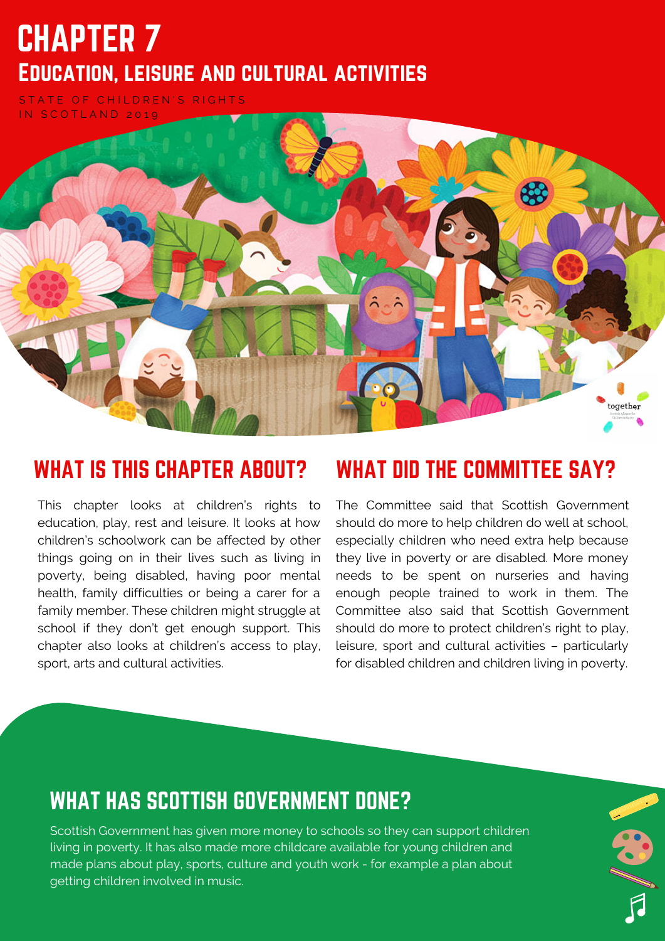# CHAPTER 7 Education, leisure and cultural activities

STATE OF CHILDREN'S RIGHTS IN SCOTLAND 2019



This chapter looks at children's rights to education, play, rest and leisure. It looks at how children's schoolwork can be affected by other things going on in their lives such as living in poverty, being disabled, having poor mental health, family difficulties or being a carer for a family member. These children might struggle at school if they don't get enough support. This chapter also looks at children's access to play, sport, arts and cultural activities.

#### WHAT IS THIS CHAPTER ABOUT? WHAT DID THE COMMITTEE SAY?

The Committee said that Scottish Government should do more to help children do well at school, especially children who need extra help because they live in poverty or are disabled. More money needs to be spent on nurseries and having enough people trained to work in them. The Committee also said that Scottish Government should do more to protect children's right to play, leisure, sport and cultural activities – particularly for disabled children and children living in poverty.

#### WHAT HAS SCOTTISH GOVERNMENT DONE?

Scottish Government has given more money to schools so they can support children living in poverty. It has also made more childcare available for young children and made plans about play, sports, culture and youth work - for example a plan about getting children involved in music.